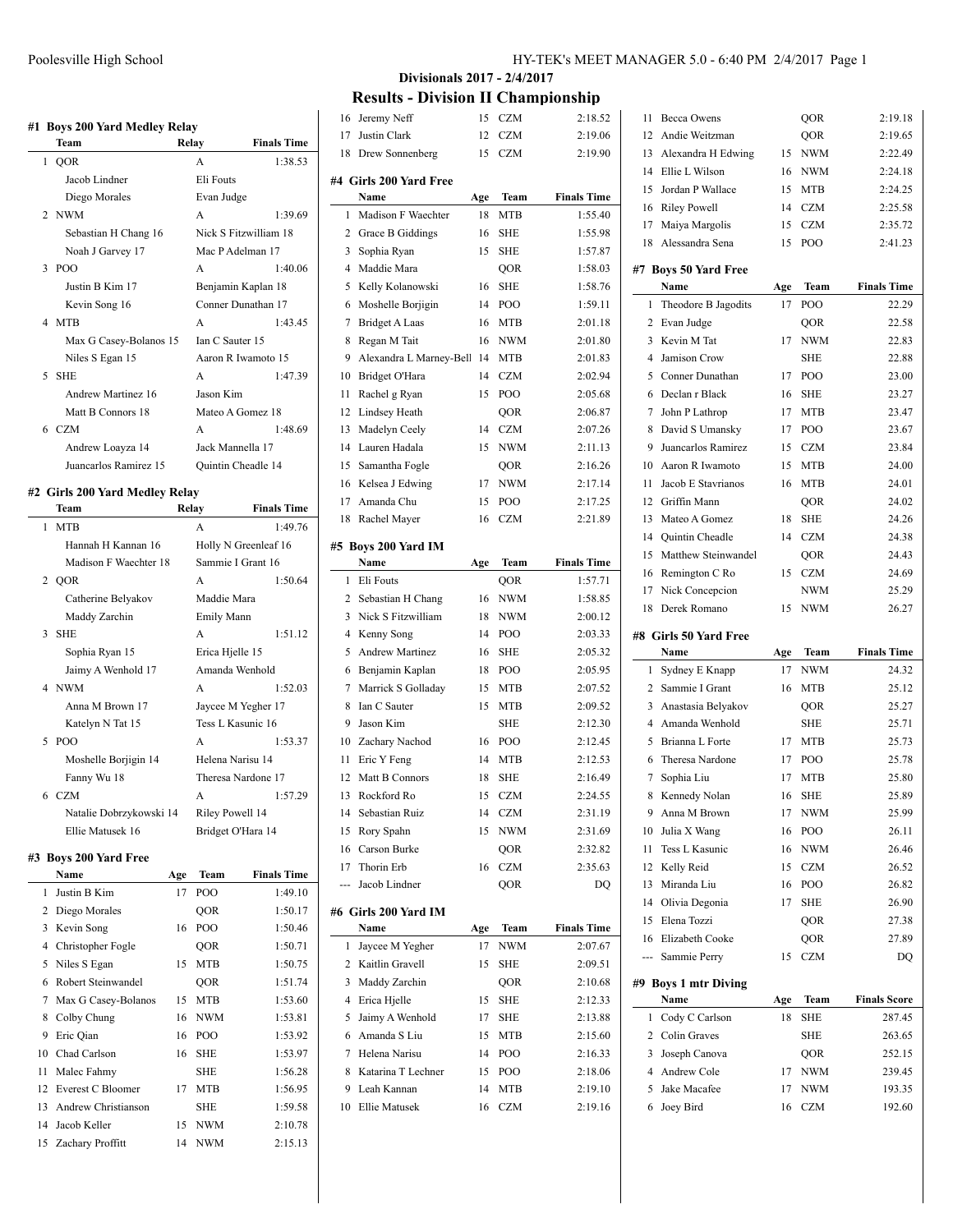|        | #1 Boys 200 Yard Medley Relay  |                  |                       |
|--------|--------------------------------|------------------|-----------------------|
|        | <b>Team</b>                    | Relay            | <b>Finals Time</b>    |
|        | 1 OOR                          | $\mathsf{A}$     | 1:38.53               |
|        | Jacob Lindner                  | <b>Eli Fouts</b> |                       |
|        | Diego Morales                  | Evan Judge       |                       |
|        | 2 NWM                          | A                | 1:39.69               |
|        | Sebastian H Chang 16           |                  | Nick S Fitzwilliam 18 |
|        | Noah J Garvey 17               |                  | Mac P Adelman 17      |
|        | $3$ POO                        | A                | 1:40.06               |
|        | Justin B Kim 17                |                  | Benjamin Kaplan 18    |
|        | Kevin Song 16                  |                  | Conner Dunathan 17    |
|        | 4 MTB                          | A                | 1:43.45               |
|        | Max G Casey-Bolanos 15         | Ian C Sauter 15  |                       |
|        | Niles S Egan 15                |                  | Aaron R Iwamoto 15    |
| $\sim$ | <b>SHE</b>                     | $\mathsf{A}$     | 1:47.39               |
|        | Andrew Martinez 16             | Jason Kim        |                       |
|        | Matt B Connors 18              |                  | Mateo A Gomez 18      |
|        | 6 <sub>CZM</sub>               | A                | 1:48.69               |
|        | Andrew Loayza 14               |                  | Jack Mannella 17      |
|        | Juancarlos Ramirez 15          |                  | Quintin Cheadle 14    |
|        | #2 Girls 200 Yard Medley Relay |                  |                       |
|        | <b>Team</b>                    | Relay            | <b>Finals Time</b>    |
| 1      | <b>MTB</b>                     | $\mathbf{A}$     | 1:49.76               |
|        | Hannah H Kannan 16             |                  | Holly N Greenleaf 16  |
|        | Madison F Waechter 18          |                  | Sammie I Grant 16     |

|    | ттаннан 11 гуаннан то   | TIONY IN ORGANICAL TO |         |
|----|-------------------------|-----------------------|---------|
|    | Madison F Waechter 18   | Sammie I Grant 16     |         |
|    | 2 OOR                   | A                     | 1:50.64 |
|    | Catherine Belyakov      | Maddie Mara           |         |
|    | Maddy Zarchin           | Emily Mann            |         |
| 3  | <b>SHE</b>              | A                     | 1:51.12 |
|    | Sophia Ryan 15          | Erica Hjelle 15       |         |
|    | Jaimy A Wenhold 17      | Amanda Wenhold        |         |
|    | 4 NWM                   | A                     | 1:52.03 |
|    | Anna M Brown 17         | Jaycee M Yegher 17    |         |
|    | Katelyn N Tat 15        | Tess L Kasunic 16     |         |
| 5. | PO <sub>O</sub>         | A                     | 1:53.37 |
|    | Moshelle Borjigin 14    | Helena Narisu 14      |         |
|    | Fanny Wu 18             | Theresa Nardone 17    |         |
|    | 6 CZM                   | A                     | 1:57.29 |
|    | Natalie Dobrzykowski 14 | Riley Powell 14       |         |
|    | Ellie Matusek 16        | Bridget O'Hara 14     |         |

# **#3 Boys 200 Yard Free**

|    | Name                | Age | Team       | <b>Finals Time</b> |
|----|---------------------|-----|------------|--------------------|
| 1  | Justin B Kim        | 17  | POO        | 1:49.10            |
| 2  | Diego Morales       |     | <b>OOR</b> | 1:50.17            |
| 3  | Kevin Song          | 16  | POO        | 1:50.46            |
| 4  | Christopher Fogle   |     | QOR        | 1:50.71            |
| 5  | Niles S Egan        | 15  | <b>MTB</b> | 1:50.75            |
| 6  | Robert Steinwandel  |     | <b>OOR</b> | 1:51.74            |
| 7  | Max G Casey-Bolanos | 15  | MTB        | 1:53.60            |
| 8  | Colby Chung         | 16  | <b>NWM</b> | 1:53.81            |
| 9  | Eric Qian           | 16  | POO        | 1:53.92            |
| 10 | Chad Carlson        | 16  | <b>SHE</b> | 1:53.97            |
| 11 | Malec Fahmy         |     | SHE        | 1:56.28            |
| 12 | Everest C Bloomer   | 17  | <b>MTB</b> | 1:56.95            |
| 13 | Andrew Christianson |     | SHE        | 1:59.58            |
| 14 | Jacob Keller        | 15  | <b>NWM</b> | 2:10.78            |
|    | 15 Zachary Proffitt | 14  | <b>NWM</b> | 2:15.13            |

 $\equiv$ 

# **Divisionals 2017 - 2/4/2017**

**Results - Division II Championship**

| 16  | Jeremy Neff                     | 15  | CZM        | 2:18.52            |
|-----|---------------------------------|-----|------------|--------------------|
| 17  | Justin Clark                    | 12  | CZM        | 2:19.06            |
| 18  | Drew Sonnenberg                 | 15  | CZM        | 2:19.90            |
|     |                                 |     |            |                    |
|     | #4  Girls 200 Yard Free<br>Name | Age | Team       | <b>Finals Time</b> |
| 1   | Madison F Waechter              | 18  | MTB        | 1:55.40            |
| 2   | Grace B Giddings                | 16  | <b>SHE</b> | 1:55.98            |
| 3   | Sophia Ryan                     | 15  | <b>SHE</b> | 1:57.87            |
| 4   | Maddie Mara                     |     | QOR        | 1:58.03            |
| 5   | Kelly Kolanowski                | 16  | <b>SHE</b> | 1:58.76            |
| 6   | Moshelle Borjigin               | 14  | POO        | 1:59.11            |
| 7   | <b>Bridget A Laas</b>           | 16  | MTB        | 2:01.18            |
| 8   | Regan M Tait                    | 16  | NWM        | 2:01.80            |
| 9   | Alexandra L Marney-Bell         | -14 | MTB        | 2:01.83            |
| 10  | Bridget O'Hara                  | 14  | <b>CZM</b> | 2:02.94            |
| 11  | Rachel g Ryan                   | 15  | POO        | 2:05.68            |
| 12  | Lindsey Heath                   |     | QOR        | 2:06.87            |
| 13  | Madelyn Ceely                   | 14  | CZM        | 2:07.26            |
| 14  | Lauren Hadala                   | 15  | <b>NWM</b> | 2:11.13            |
| 15  | Samantha Fogle                  |     | QOR        | 2:16.26            |
| 16  | Kelsea J Edwing                 | 17  | <b>NWM</b> | 2:17.14            |
| 17  | Amanda Chu                      | 15  | POO        | 2:17.25            |
| 18  | Rachel Mayer                    | 16  | <b>CZM</b> | 2:21.89            |
|     |                                 |     |            |                    |
|     | #5 Boys 200 Yard IM             |     |            |                    |
|     | Name                            | Age | Team       | <b>Finals Time</b> |
| 1   | Eli Fouts                       |     | QOR        | 1:57.71            |
|     | 2 Sebastian H Chang             | 16  | <b>NWM</b> | 1:58.85            |
| 3   | Nick S Fitzwilliam              | 18  | <b>NWM</b> | 2:00.12            |
| 4   | Kenny Song                      | 14  | POO        | 2:03.33            |
| 5   | <b>Andrew Martinez</b>          | 16  | SHE        | 2:05.32            |
| 6   | Benjamin Kaplan                 | 18  | POO        | 2:05.95            |
| 7   | Marrick S Golladay              | 15  | MTB        | 2:07.52            |
| 8   | Ian C Sauter                    | 15  | MTB        | 2:09.52            |
| 9   | Jason Kim                       |     | <b>SHE</b> | 2:12.30            |
| 10  | Zachary Nachod                  | 16  | POO        | 2:12.45            |
| 11  | Eric Y Feng                     | 14  | MTB        | 2:12.53            |
| 12  | Matt B Connors                  | 18  | <b>SHE</b> | 2:16.49            |
| 13  | Rockford Ro                     | 15  | <b>CZM</b> | 2:24.55            |
| 14  | Sebastian Ruiz                  | 14  | <b>CZM</b> | 2:31.19            |
| 15  | Rory Spahn                      | 15  | <b>NWM</b> | 2:31.69            |
| 16  | Carson Burke                    |     | QOR        | 2:32.82            |
|     | 17 Thorin Erb                   | 16  | <b>CZM</b> | 2:35.63            |
| --- | Jacob Lindner                   |     | QOR        | DQ                 |
|     | #6 Girls 200 Yard IM            |     |            |                    |
|     | Name                            | Age | Team       | <b>Finals Time</b> |
| 1   | Jaycee M Yegher                 | 17  | <b>NWM</b> | 2:07.67            |
|     | 2 Kaitlin Gravell               | 15  | <b>SHE</b> | 2:09.51            |
| 3   | Maddy Zarchin                   |     | QOR        | 2:10.68            |
| 4   | Erica Hjelle                    | 15  | <b>SHE</b> | 2:12.33            |
| 5   | Jaimy A Wenhold                 | 17  | SHE        | 2:13.88            |
| 6   | Amanda S Liu                    | 15  | MTB        | 2:15.60            |
| 7   | Helena Narisu                   | 14  | POO        | 2:16.33            |
| 8   | Katarina T Lechner              | 15  | POO        | 2:18.06            |
| 9   | Leah Kannan                     | 14  | MTB        | 2:19.10            |
| 10  | Ellie Matusek                   | 16  | <b>CZM</b> | 2:19.16            |
|     |                                 |     |            |                    |

|              | <b>Becca Owens</b>        |          | QOR            | 2:19.18             |
|--------------|---------------------------|----------|----------------|---------------------|
| 12           | Andie Weitzman            |          | QOR            | 2:19.65             |
| 13           | Alexandra H Edwing        | 15       | NWM            | 2:22.49             |
| 14           | Ellie L Wilson            | 16       | NWM            | 2:24.18             |
| 15           | Jordan P Wallace          | 15       | MTB            | 2:24.25             |
| 16           | <b>Riley Powell</b>       | 14       | <b>CZM</b>     | 2:25.58             |
|              | 17 Maiya Margolis         | 15       | <b>CZM</b>     | 2:35.72             |
| 18           | Alessandra Sena           | 15       | POO            | 2:41.23             |
|              | #7 Boys 50 Yard Free      |          |                |                     |
|              | Name                      | Age      | Team           | <b>Finals Time</b>  |
| 1            | Theodore B Jagodits       | 17       | POO            | 22.29               |
| 2            | Evan Judge                |          | QOR            | 22.58               |
| 3            | Kevin M Tat               | 17       | <b>NWM</b>     | 22.83               |
| 4            | Jamison Crow              |          | <b>SHE</b>     | 22.88               |
| 5            | Conner Dunathan           | 17       | POO            | 23.00               |
| 6            | Declan r Black            | 16       | <b>SHE</b>     | 23.27               |
| 7            | John P Lathrop            | 17       | MTB            | 23.47               |
| 8            | David S Umansky           | 17       | POO            | 23.67               |
| 9            | Juancarlos Ramirez        | 15       | <b>CZM</b>     | 23.84               |
| 10           | Aaron R Iwamoto           | 15       | <b>MTB</b>     | 24.00               |
| 11           | Jacob E Stavrianos        | 16       | <b>MTB</b>     | 24.01               |
| 12           | Griffin Mann              |          | QOR            | 24.02               |
| 13           | Mateo A Gomez             | 18       | <b>SHE</b>     | 24.26               |
| 14           | Quintin Cheadle           | 14       | <b>CZM</b>     | 24.38               |
| 15           | Matthew Steinwandel       |          | QOR            | 24.43               |
| 16           | Remington C Ro            | 15       | <b>CZM</b>     | 24.69               |
| 17           | Nick Concepcion           |          | <b>NWM</b>     | 25.29               |
| 18           | Derek Romano              | 15       | <b>NWM</b>     | 26.27               |
|              |                           |          |                |                     |
|              |                           |          |                |                     |
|              | #8 Girls 50 Yard Free     |          |                |                     |
|              | Name                      | Age      | Team           | <b>Finals Time</b>  |
| $\mathbf{1}$ | Sydney E Knapp            | 17       | <b>NWM</b>     | 24.32               |
| 2            | Sammie I Grant            | 16       | MTB            | 25.12               |
| 3            | Anastasia Belyakov        |          | QOR            | 25.27               |
| 4            | Amanda Wenhold            |          | <b>SHE</b>     | 25.71               |
| 5            | Brianna L Forte           | 17       | <b>MTB</b>     | 25.73               |
| 6            | Theresa Nardone           | 17       | POO            | 25.78               |
| 7            | Sophia Liu                | 17       | <b>MTB</b>     | 25.80               |
| 8            | Kennedy Nolan             | 16       | <b>SHE</b>     | 25.89               |
| 9            | Anna M Brown              | 17       | $\textit{NWM}$ | 25.99               |
| 10           | Julia X Wang              | 16       | POO            | 26.11               |
| 11           | Tess L Kasunic            | 16       | <b>NWM</b>     | 26.46               |
| 12           | Kelly Reid                | 15       | <b>CZM</b>     | 26.52               |
| 13           | Miranda Liu               | 16       | POO            | 26.82               |
|              | 14 Olivia Degonia         | 17       | <b>SHE</b>     | 26.90               |
| 15           | Elena Tozzi               |          | QOR            | 27.38               |
| 16           | Elizabeth Cooke           |          | QOR            | 27.89               |
|              | --- Sammie Perry          | 15       | <b>CZM</b>     | DQ                  |
|              | #9 Boys 1 mtr Diving      |          |                |                     |
|              | Name                      | Age      | Team           | <b>Finals Score</b> |
| 1            | Cody C Carlson            | 18       | <b>SHE</b>     | 287.45              |
|              | 2 Colin Graves            |          | <b>SHE</b>     | 263.65              |
| 3            | Joseph Canova             |          | QOR            | 252.15              |
| 4            | Andrew Cole               | 17       | NWM            | 239.45              |
| 5<br>6       | Jake Macafee<br>Joey Bird | 17<br>16 | NWM<br>CZM     | 193.35<br>192.60    |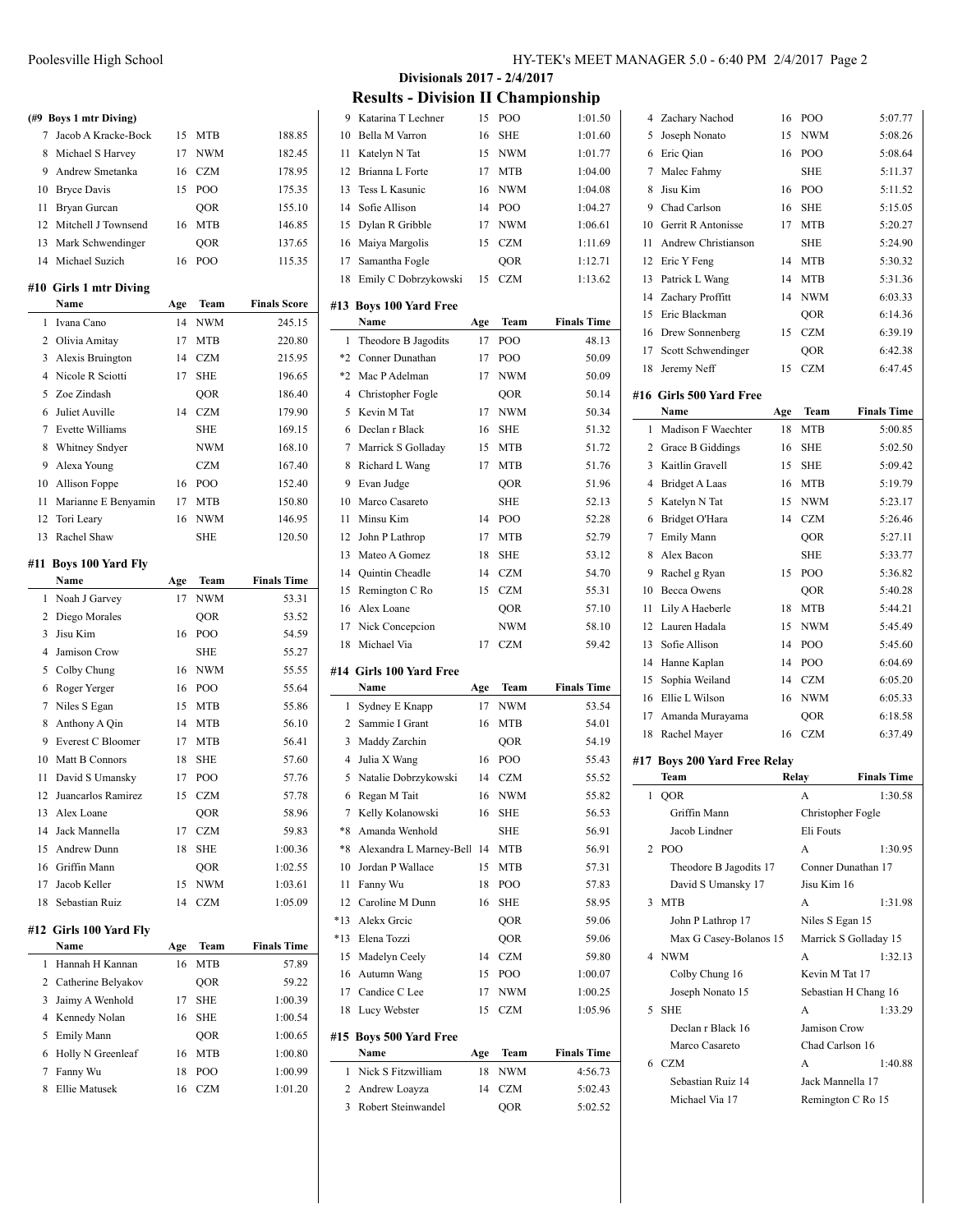|                | (#9 Boys 1 mtr Diving)               |           |             |                             |
|----------------|--------------------------------------|-----------|-------------|-----------------------------|
| 7              | Jacob A Kracke-Bock                  | 15        | MTB         | 188.85                      |
| 8              | Michael S Harvey                     | 17        | <b>NWM</b>  | 182.45                      |
|                | 9 Andrew Smetanka                    | 16        | <b>CZM</b>  | 178.95                      |
|                | 10 Bryce Davis                       | 15        | POO         | 175.35                      |
| 11             | Bryan Gurcan                         |           | QOR         | 155.10                      |
| 12             | Mitchell J Townsend                  | 16        | <b>MTB</b>  | 146.85                      |
| 13             | Mark Schwendinger                    |           | QOR         | 137.65                      |
| 14             | Michael Suzich                       | 16        | POO         | 115.35                      |
|                |                                      |           |             |                             |
|                | #10 Girls 1 mtr Diving<br>Name       |           | Team        | <b>Finals Score</b>         |
| 1              | Ivana Cano                           | Age<br>14 | <b>NWM</b>  | 245.15                      |
| 2              | Olivia Amitay                        | 17        | MTB         | 220.80                      |
|                |                                      |           |             |                             |
| 3              | Alexis Bruington<br>Nicole R Sciotti | 14        | <b>CZM</b>  | 215.95                      |
| 4              |                                      | 17        | SHE         | 196.65                      |
| 5              | Zoe Zindash                          |           | QOR         | 186.40                      |
| 6              | Juliet Auville                       | 14        | <b>CZM</b>  | 179.90                      |
| 7              | <b>Evette Williams</b>               |           | SHE         | 169.15                      |
| 8              | Whitney Sndyer                       |           | <b>NWM</b>  | 168.10                      |
| 9              | Alexa Young                          |           | <b>CZM</b>  | 167.40                      |
|                | 10 Allison Foppe                     | 16        | POO         | 152.40                      |
| 11             | Marianne E Benyamin                  | 17        | <b>MTB</b>  | 150.80                      |
|                | 12 Tori Leary                        | 16        | <b>NWM</b>  | 146.95                      |
| 13             | Rachel Shaw                          |           | SHE         | 120.50                      |
| #11            | <b>Boys 100 Yard Fly</b>             |           |             |                             |
|                | Name                                 | Age       | Team        | <b>Finals Time</b>          |
| 1              | Noah J Garvey                        | 17        | <b>NWM</b>  | 53.31                       |
| 2              | Diego Morales                        |           | QOR         | 53.52                       |
| 3              | Jisu Kim                             | 16        | POO         | 54.59                       |
| $\overline{4}$ | Jamison Crow                         |           | <b>SHE</b>  | 55.27                       |
| 5              | Colby Chung                          | 16        | <b>NWM</b>  | 55.55                       |
| 6              | Roger Yerger                         | 16        | POO         | 55.64                       |
| 7              | Niles S Egan                         | 15        | MTB         | 55.86                       |
| 8              | Anthony A Qin                        | 14        | MTB         | 56.10                       |
| 9              | Everest C Bloomer                    | 17        | MTB         | 56.41                       |
| 10             | Matt B Connors                       | 18        | <b>SHE</b>  | 57.60                       |
| 11             | David S Umansky                      | 17        | POO         | 57.76                       |
| 12             | Juancarlos Ramirez                   | 15        | <b>CZM</b>  | 57.78                       |
| 13             | Alex Loane                           |           | QOR         | 58.96                       |
| 14             | Jack Mannella                        | 17        | CZM         | 59.83                       |
| 15             | Andrew Dunn                          | 18        | SHE         | 1:00.36                     |
|                | 16 Griffin Mann                      |           | QOR         | 1:02.55                     |
| 17             | Jacob Keller                         | 15        | <b>NWM</b>  | 1:03.61                     |
| 18             | Sebastian Ruiz                       | 14        | CZM         | 1:05.09                     |
|                |                                      |           |             |                             |
|                | #12 Girls 100 Yard Fly<br>Name       |           |             |                             |
| 1              | Hannah H Kannan                      | Age<br>16 | Team<br>MTB | <b>Finals Time</b><br>57.89 |
|                |                                      |           |             |                             |
| 2              | Catherine Belyakov                   |           | QOR         | 59.22                       |
| 3              | Jaimy A Wenhold                      | 17        | <b>SHE</b>  | 1:00.39                     |
| 4              | Kennedy Nolan                        | 16        | SHE         | 1:00.54                     |
| 5              | Emily Mann                           |           | QOR         | 1:00.65                     |
| 6              | Holly N Greenleaf                    | 16        | MTB         | 1:00.80                     |
| 7              | Fanny Wu                             | 18        | POO         | 1:00.99                     |

Ellie Matusek 16 CZM 1:01.20

**Divisionals 2017 - 2/4/2017 Results - Division II Championship**

| 9              | Katarina T Lechner             | 15  | POO        | 1:01.50            |
|----------------|--------------------------------|-----|------------|--------------------|
| 10             | Bella M Varron                 | 16  | SHE        | 1:01.60            |
| 11             | Katelyn N Tat                  | 15  | NWM        | 1:01.77            |
| 12             | Brianna L Forte                | 17  | MTB        | 1:04.00            |
| 13             | Tess L Kasunic                 | 16  | <b>NWM</b> | 1:04.08            |
| 14             | Sofie Allison                  | 14  | POO        | 1:04.27            |
| 15             | Dylan R Gribble                | 17  | <b>NWM</b> | 1:06.61            |
| 16             | Maiya Margolis                 | 15  | <b>CZM</b> | 1:11.69            |
| 17             | Samantha Fogle                 |     | QOR        | 1:12.71            |
| 18             | Emily C Dobrzykowski           | 15  | CZM        | 1:13.62            |
| #13            | <b>Boys 100 Yard Free</b>      |     |            |                    |
|                | Name                           | Age | Team       | <b>Finals Time</b> |
| 1              | Theodore B Jagodits            | 17  | POO        | 48.13              |
| $*2$           | Conner Dunathan                | 17  | POO        | 50.09              |
|                | *2 Mac P Adelman               | 17  | NWM        | 50.09              |
| $\overline{4}$ | Christopher Fogle              |     | QOR        | 50.14              |
| 5              | Kevin M Tat                    | 17  | <b>NWM</b> | 50.34              |
| 6              | Declan r Black                 | 16  | SHE        | 51.32              |
| 7              | Marrick S Golladay             | 15  | MTB        | 51.72              |
| 8              | Richard L Wang                 | 17  | MTB        | 51.76              |
| 9              | Evan Judge                     |     | QOR        | 51.96              |
| 10             | Marco Casareto                 |     | <b>SHE</b> | 52.13              |
| 11             | Minsu Kim                      | 14  | POO        | 52.28              |
| 12             | John P Lathrop                 | 17  | MTB        | 52.79              |
| 13             | Mateo A Gomez                  | 18  | <b>SHE</b> | 53.12              |
| 14             | Quintin Cheadle                | 14  | <b>CZM</b> | 54.70              |
| 15             | Remington C Ro                 | 15  | <b>CZM</b> | 55.31              |
|                |                                |     |            |                    |
| 16             | Alex Loane                     |     |            |                    |
| 17             |                                |     | QOR<br>NWM | 57.10              |
| 18             | Nick Concepcion<br>Michael Via | 17  | <b>CZM</b> | 58.10<br>59.42     |
|                |                                |     |            |                    |
|                | #14  Girls 100 Yard Free       |     |            |                    |
|                | Name                           | Age | Team       | <b>Finals Time</b> |
| 1              | Sydney E Knapp                 | 17  | NWM        | 53.54              |
|                | 2 Sammie I Grant               | 16  | MTB        | 54.01              |
|                | 3 Maddy Zarchin                |     | QOR        | 54.19              |
| 4              | Julia X Wang                   | 16  | POO        | 55.43              |
| 5              | Natalie Dobrzykowski           | 14  | <b>CZM</b> | 55.52              |
| 6              | Regan M Tait                   | 16  | NWM        | 55.82              |
|                | Kelly Kolanowski               | 16  | <b>SHE</b> | 56.53              |
| *8             | Amanda Wenhold                 |     | SHE        | 56.91              |
| $*8$           | Alexandra L Marney-Bell        | 14  | MTB        | 56.91              |
| 10             | Jordan P Wallace               | 15  | MTB        | 57.31              |
| 11             | Fanny Wu                       | 18  | POO        | 57.83              |
| 12             | Caroline M Dunn                | 16  | <b>SHE</b> | 58.95              |
| $*13$          | Alekx Greic                    |     | QOR        | 59.06              |
| $*13$          | Elena Tozzi                    |     | QOR        | 59.06              |
| 15             | Madelyn Ceely                  | 14  | CZM        | 59.80              |
| 16             | Autumn Wang                    | 15  | POO        | 1:00.07            |
| 17             | Candice C Lee                  | 17  | NWM        | 1:00.25            |
| 18             | Lucy Webster                   | 15  | CZM        | 1:05.96            |
|                | #15 Boys 500 Yard Free         |     |            |                    |
|                | Name                           | Age | Team       | <b>Finals Time</b> |
| 1              | Nick S Fitzwilliam             | 18  | NWM        | 4:56.73            |
| 2              | Andrew Loayza                  | 14  | CZM        | 5:02.43<br>5:02.52 |

| 4   | Zachary Nachod                          | 16    | POO                                      | 5:07.77            |
|-----|-----------------------------------------|-------|------------------------------------------|--------------------|
| 5   | Joseph Nonato                           | 15    | NWM                                      | 5:08.26            |
| 6   | Eric Qian                               | 16    | POO                                      | 5:08.64            |
| 7   | Malec Fahmy                             |       | <b>SHE</b>                               | 5:11.37            |
| 8   | Jisu Kim                                | 16    | PO <sub>O</sub>                          | 5:11.52            |
|     | 9 Chad Carlson                          | 16    | <b>SHE</b>                               | 5:15.05            |
|     | 10 Gerrit R Antonisse                   | 17    | <b>MTB</b>                               | 5:20.27            |
| 11  | Andrew Christianson                     |       | SHE                                      | 5:24.90            |
| 12  | Eric Y Feng                             | 14    | <b>MTB</b>                               | 5:30.32            |
|     |                                         | 14    |                                          |                    |
| 13  | Patrick L Wang                          |       | MTB                                      | 5:31.36            |
| 14  | Zachary Proffitt                        | 14    | <b>NWM</b>                               | 6:03.33            |
| 15  | Eric Blackman                           |       | <b>OOR</b>                               | 6:14.36            |
| 16  | Drew Sonnenberg                         | 15    | <b>CZM</b>                               | 6:39.19            |
| 17  | Scott Schwendinger                      |       | QOR                                      | 6:42.38            |
| 18  | Jeremy Neff                             | 15    | <b>CZM</b>                               | 6:47.45            |
|     | #16 Girls 500 Yard Free                 |       |                                          |                    |
|     | <b>Name</b>                             | Age   | Team                                     | <b>Finals Time</b> |
| 1   | Madison F Waechter                      | 18    | MTB                                      | 5:00.85            |
| 2   | Grace B Giddings                        | 16    | SHE                                      | 5:02.50            |
| 3   | Kaitlin Gravell                         | 15    | <b>SHE</b>                               | 5:09.42            |
| 4   | <b>Bridget A Laas</b>                   | 16    | MTB                                      | 5:19.79            |
| 5   | Katelyn N Tat                           | 15    | <b>NWM</b>                               | 5:23.17            |
| 6   | Bridget O'Hara                          | 14    | <b>CZM</b>                               | 5:26.46            |
| 7   | <b>Emily Mann</b>                       |       | QOR                                      | 5:27.11            |
| 8   | Alex Bacon                              |       | <b>SHE</b>                               | 5:33.77            |
| 9   | Rachel g Ryan                           | 15    | POO                                      | 5:36.82            |
| 10  | <b>Becca Owens</b>                      |       | QOR                                      | 5:40.28            |
| 11  | Lily A Haeberle                         | 18    | <b>MTB</b>                               | 5:44.21            |
| 12  | Lauren Hadala                           | 15    | <b>NWM</b>                               | 5:45.49            |
| 13  | Sofie Allison                           | 14    | POO                                      | 5:45.60            |
| 14  | Hanne Kaplan                            | 14    | POO                                      | 6:04.69            |
| 15  | Sophia Weiland                          | 14    | <b>CZM</b>                               | 6:05.20            |
| 16  | Ellie L Wilson                          | 16    | NWM                                      | 6:05.33            |
| 17  | Amanda Murayama                         |       | QOR                                      | 6:18.58            |
| 18  | Rachel Mayer                            | 16    | <b>CZM</b>                               | 6:37.49            |
|     |                                         |       |                                          |                    |
| #17 | <b>Boys 200 Yard Free Relay</b><br>Team | Relay |                                          | <b>Finals Time</b> |
| 1   | QOR                                     |       | А                                        | 1:30.58            |
|     | Griffin Mann                            |       | Christopher Fogle                        |                    |
|     | Jacob Lindner                           |       | Eli Fouts                                |                    |
| 2   | PO <sub>O</sub>                         |       | А                                        | 1:30.95            |
|     | Theodore B Jagodits 17                  |       | Conner Dunathan 17                       |                    |
|     | David S Umansky 17                      |       | Jisu Kim 16                              |                    |
| 3   | <b>MTB</b>                              |       | А                                        | 1:31.98            |
|     | John P Lathrop 17                       |       |                                          |                    |
|     |                                         |       | Niles S Egan 15<br>Marrick S Golladay 15 |                    |
| 4   | Max G Casey-Bolanos 15<br><b>NWM</b>    |       | A                                        |                    |
|     |                                         |       |                                          | 1:32.13            |
|     | Colby Chung 16                          |       | Kevin M Tat 17                           |                    |
|     | Joseph Nonato 15                        |       | Sebastian H Chang 16                     |                    |
| 5   | <b>SHE</b>                              |       | А                                        | 1:33.29            |
|     | Declan r Black 16                       |       | Jamison Crow                             |                    |
|     | Marco Casareto                          |       | Chad Carlson 16                          |                    |
| 6   | <b>CZM</b>                              |       | A                                        | 1:40.88            |
|     | Sebastian Ruiz 14                       |       | Jack Mannella 17                         |                    |
|     | Michael Via 17                          |       | Remington C Ro 15                        |                    |
|     |                                         |       |                                          |                    |